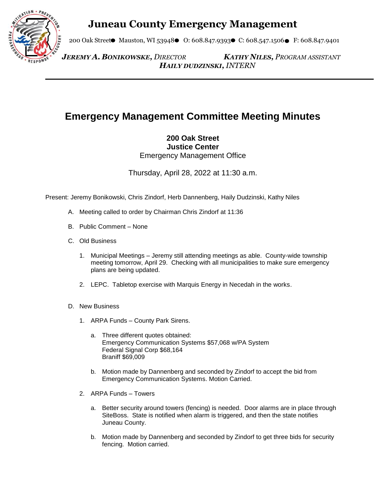## **Juneau County Emergency Management**



200 Oak Street Mauston, WI 53948 O: 608.847.9393 C: 608.547.1506 F: 608.847.9401

 *JEREMY A. BONIKOWSKE, DIRECTOR KATHY NILES, PROGRAM ASSISTANT HAILY DUDZINSKI, INTERN*

## **Emergency Management Committee Meeting Minutes**

**200 Oak Street Justice Center** Emergency Management Office

Thursday, April 28, 2022 at 11:30 a.m.

Present: Jeremy Bonikowski, Chris Zindorf, Herb Dannenberg, Haily Dudzinski, Kathy Niles

- A. Meeting called to order by Chairman Chris Zindorf at 11:36
- B. Public Comment None
- C. Old Business
	- 1. Municipal Meetings Jeremy still attending meetings as able. County-wide township meeting tomorrow, April 29. Checking with all municipalities to make sure emergency plans are being updated.
	- 2. LEPC. Tabletop exercise with Marquis Energy in Necedah in the works.
- D. New Business
	- 1. ARPA Funds County Park Sirens.
		- a. Three different quotes obtained: Emergency Communication Systems \$57,068 w/PA System Federal Signal Corp \$68,164 Braniff \$69,009
		- b. Motion made by Dannenberg and seconded by Zindorf to accept the bid from Emergency Communication Systems. Motion Carried.
	- 2. ARPA Funds Towers
		- a. Better security around towers (fencing) is needed. Door alarms are in place through SiteBoss. State is notified when alarm is triggered, and then the state notifies Juneau County.
		- b. Motion made by Dannenberg and seconded by Zindorf to get three bids for security fencing. Motion carried.